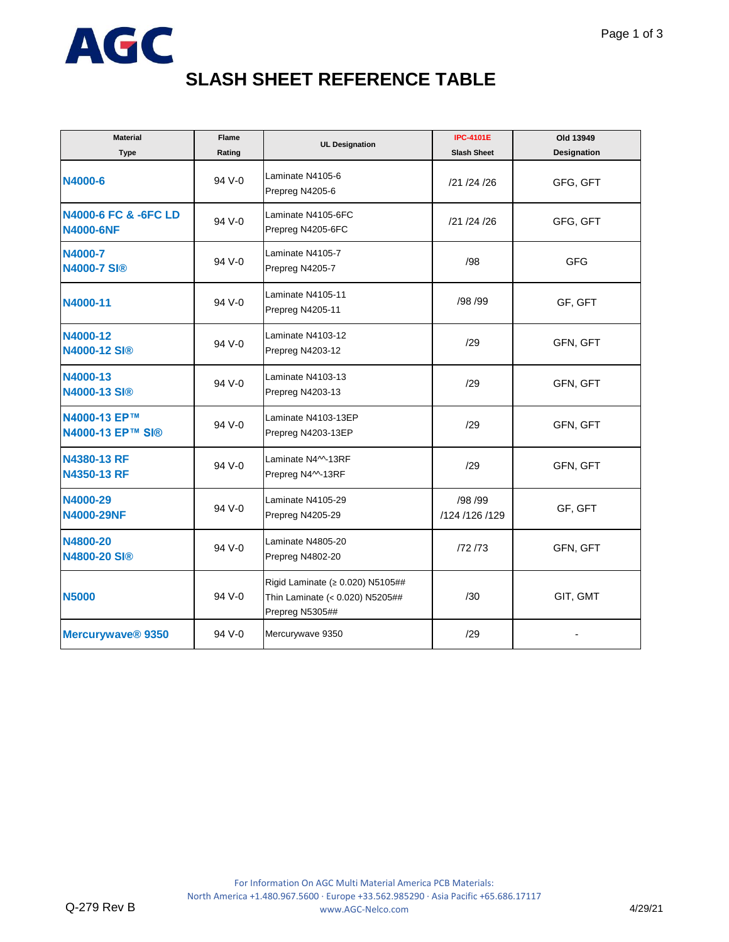

## **SLASH SHEET REFERENCE TABLE**

| <b>Material</b><br><b>Type</b>           | <b>Flame</b><br>Rating | <b>UL Designation</b>                                                                  | <b>IPC-4101E</b><br><b>Slash Sheet</b> | Old 13949<br><b>Designation</b> |
|------------------------------------------|------------------------|----------------------------------------------------------------------------------------|----------------------------------------|---------------------------------|
| N4000-6                                  | 94 V-0                 | Laminate N4105-6<br>Prepreg N4205-6                                                    | /21 /24 /26                            | GFG, GFT                        |
| N4000-6 FC & -6FC LD<br><b>N4000-6NF</b> | 94 V-0                 | Laminate N4105-6FC<br>Prepreg N4205-6FC                                                | /21 /24 /26                            | GFG, GFT                        |
| N4000-7<br><b>N4000-7 SI®</b>            | 94 V-0                 | Laminate N4105-7<br>Prepreg N4205-7                                                    | /98                                    | <b>GFG</b>                      |
| N4000-11                                 | 94 V-0                 | Laminate N4105-11<br>Prepreg N4205-11                                                  | /98 /99                                | GF, GFT                         |
| N4000-12<br>N4000-12 SI®                 | 94 V-0                 | Laminate N4103-12<br>Prepreg N4203-12                                                  | /29                                    | GFN, GFT                        |
| N4000-13<br>N4000-13 SI®                 | 94 V-0                 | Laminate N4103-13<br>Prepreg N4203-13                                                  | /29                                    | GFN, GFT                        |
| N4000-13 EP™<br>N4000-13 EP™ SI®         | 94 V-0                 | Laminate N4103-13EP<br>Prepreg N4203-13EP                                              | /29                                    | GFN, GFT                        |
| N4380-13 RF<br>N4350-13 RF               | 94 V-0                 | Laminate N4^^-13RF<br>Prepreg N4^^-13RF                                                | /29                                    | GFN, GFT                        |
| N4000-29<br><b>N4000-29NF</b>            | 94 V-0                 | Laminate N4105-29<br>Prepreg N4205-29                                                  | /98 /99<br>/124 /126 /129              | GF, GFT                         |
| N4800-20<br>N4800-20 SI®                 | 94 V-0                 | Laminate N4805-20<br>Prepreg N4802-20                                                  | /72 /73                                | GFN, GFT                        |
| <b>N5000</b>                             | 94 V-0                 | Rigid Laminate (≥ 0.020) N5105##<br>Thin Laminate (< 0.020) N5205##<br>Prepreg N5305## | /30                                    | GIT, GMT                        |
| Mercurywave <sup>®</sup> 9350            | 94 V-0                 | Mercurywave 9350                                                                       | /29                                    |                                 |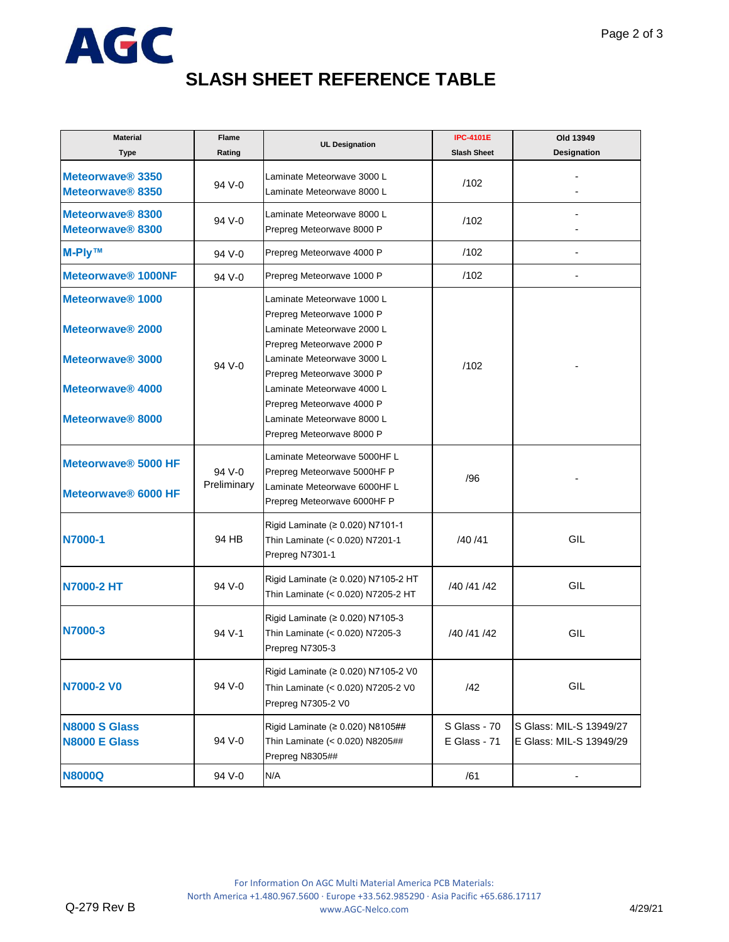

## **SLASH SHEET REFERENCE TABLE**

| <b>Material</b><br>Type                                              | Flame<br>Rating       | <b>UL Designation</b>                                                                                                                                                         | <b>IPC-4101E</b><br><b>Slash Sheet</b> | Old 13949<br><b>Designation</b>                    |
|----------------------------------------------------------------------|-----------------------|-------------------------------------------------------------------------------------------------------------------------------------------------------------------------------|----------------------------------------|----------------------------------------------------|
| Meteorwave® 3350<br>Meteorwave <sup>®</sup> 8350                     | 94 V-0                | Laminate Meteorwave 3000 L<br>Laminate Meteorwave 8000 L                                                                                                                      | /102                                   |                                                    |
| Meteorwave® 8300<br>Meteorwave <sup>®</sup> 8300                     | 94 V-0                | Laminate Meteorwave 8000 L<br>Prepreg Meteorwave 8000 P                                                                                                                       | /102                                   |                                                    |
| <b>M-Ply™</b>                                                        | 94 V-0                | Prepreg Meteorwave 4000 P                                                                                                                                                     | /102                                   |                                                    |
| Meteorwave® 1000NF                                                   | 94 V-0                | Prepreg Meteorwave 1000 P                                                                                                                                                     | /102                                   |                                                    |
| Meteorwave <sup>®</sup> 1000<br>Meteorwave <sup>®</sup> 2000         | 94 V-0                | Laminate Meteorwave 1000 L<br>Prepreg Meteorwave 1000 P<br>Laminate Meteorwave 2000 L<br>Prepreg Meteorwave 2000 P                                                            | /102                                   |                                                    |
| Meteorwave <sup>®</sup> 3000<br>Meteorwave® 4000<br>Meteorwave® 8000 |                       | Laminate Meteorwave 3000 L<br>Prepreg Meteorwave 3000 P<br>Laminate Meteorwave 4000 L<br>Prepreg Meteorwave 4000 P<br>Laminate Meteorwave 8000 L<br>Prepreg Meteorwave 8000 P |                                        |                                                    |
| Meteorwave <sup>®</sup> 5000 HF<br>Meteorwave <sup>®</sup> 6000 HF   | 94 V-0<br>Preliminary | Laminate Meteorwave 5000HF L<br>Prepreg Meteorwave 5000HF P<br>Laminate Meteorwave 6000HF L<br>Prepreg Meteorwave 6000HF P                                                    | /96                                    |                                                    |
| N7000-1                                                              | 94 HB                 | Rigid Laminate (≥ 0.020) N7101-1<br>Thin Laminate (< 0.020) N7201-1<br>Prepreg N7301-1                                                                                        | /40 /41                                | GIL                                                |
| <b>N7000-2 HT</b>                                                    | 94 V-0                | Rigid Laminate (≥ 0.020) N7105-2 HT<br>Thin Laminate (< 0.020) N7205-2 HT                                                                                                     | /40 /41 /42                            | GIL                                                |
| N7000-3                                                              | 94 V-1                | Rigid Laminate (≥ 0.020) N7105-3<br>Thin Laminate (< 0.020) N7205-3<br>Prepreg N7305-3                                                                                        | /40 /41 /42                            | GIL                                                |
| N7000-2 V0                                                           | 94 V-0                | Rigid Laminate (≥ 0.020) N7105-2 V0<br>Thin Laminate (< 0.020) N7205-2 V0<br>Prepreg N7305-2 V0                                                                               | /42                                    | GIL                                                |
| <b>N8000 S Glass</b><br><b>N8000 E Glass</b>                         | 94 V-0                | Rigid Laminate (≥ 0.020) N8105##<br>Thin Laminate (< 0.020) N8205##<br>Prepreg N8305##                                                                                        | S Glass - 70<br>E Glass - 71           | S Glass: MIL-S 13949/27<br>E Glass: MIL-S 13949/29 |
| <b>N8000Q</b>                                                        | 94 V-0                | N/A                                                                                                                                                                           | /61                                    |                                                    |